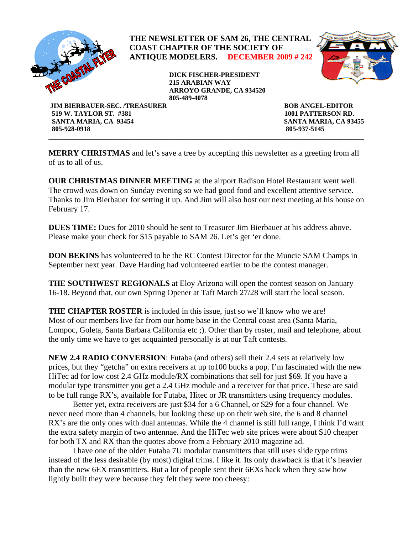

**\_\_\_\_\_\_\_\_\_\_\_\_\_\_\_\_\_\_\_\_\_\_\_\_\_\_\_\_\_\_\_\_\_\_\_\_\_\_\_\_\_\_\_\_\_\_\_\_\_\_\_\_\_\_\_\_\_\_\_\_\_\_\_\_\_\_\_\_\_\_\_\_\_\_\_\_\_\_\_\_\_\_\_\_\_\_\_\_\_\_\_\_\_ MERRY CHRISTMAS** and let's save a tree by accepting this newsletter as a greeting from all of us to all of us.

 **805-928-0918 805-937-5145** 

**OUR CHRISTMAS DINNER MEETING** at the airport Radison Hotel Restaurant went well. The crowd was down on Sunday evening so we had good food and excellent attentive service. Thanks to Jim Bierbauer for setting it up. And Jim will also host our next meeting at his house on February 17.

**DUES TIME:** Dues for 2010 should be sent to Treasurer Jim Bierbauer at his address above. Please make your check for \$15 payable to SAM 26. Let's get 'er done.

**DON BEKINS** has volunteered to be the RC Contest Director for the Muncie SAM Champs in September next year. Dave Harding had volunteered earlier to be the contest manager.

**THE SOUTHWEST REGIONALS** at Eloy Arizona will open the contest season on January 16-18. Beyond that, our own Spring Opener at Taft March 27/28 will start the local season.

**THE CHAPTER ROSTER** is included in this issue, just so we'll know who we are! Most of our members live far from our home base in the Central coast area (Santa Maria, Lompoc, Goleta, Santa Barbara California etc ;). Other than by roster, mail and telephone, about the only time we have to get acquainted personally is at our Taft contests.

**NEW 2.4 RADIO CONVERSION**: Futaba (and others) sell their 2.4 sets at relatively low prices, but they "getcha" on extra receivers at up to100 bucks a pop. I'm fascinated with the new HiTec ad for low cost 2.4 GHz module/RX combinations that sell for just \$69. If you have a modular type transmitter you get a 2.4 GHz module and a receiver for that price. These are said to be full range RX's, available for Futaba, Hitec or JR transmitters using frequency modules.

 Better yet, extra receivers are just \$34 for a 6 Channel, or \$29 for a four channel. We never need more than 4 channels, but looking these up on their web site, the 6 and 8 channel RX's are the only ones with dual antennas. While the 4 channel is still full range, I think I'd want the extra safety margin of two antennae. And the HiTec web site prices were about \$10 cheaper for both TX and RX than the quotes above from a February 2010 magazine ad.

 I have one of the older Futaba 7U modular transmitters that still uses slide type trims instead of the less desirable (by most) digital trims. I like it. Its only drawback is that it's heavier than the new 6EX transmitters. But a lot of people sent their 6EXs back when they saw how lightly built they were because they felt they were too cheesy: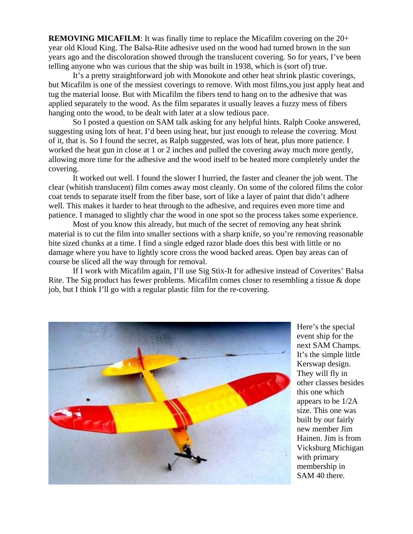**REMOVING MICAFILM**: It was finally time to replace the Micafilm covering on the 20+ year old Kloud King. The Balsa-Rite adhesive used on the wood had turned brown in the sun years ago and the discoloration showed through the translucent covering. So for years, I've been telling anyone who was curious that the ship was built in 1938, which is (sort of) true.

It's a pretty straightforward job with Monokote and other heat shrink plastic coverings, but Micafilm is one of the messiest coverings to remove. With most films,you just apply heat and tug the material loose. But with Micafilm the fibers tend to hang on to the adhesive that was applied separately to the wood. As the film separates it usually leaves a fuzzy mess of fibers hanging onto the wood, to be dealt with later at a slow tedious pace.

So I posted a question on SAM talk asking for any helpful hints. Ralph Cooke answered, suggesting using lots of heat. I'd been using heat, but just enough to release the covering. Most of it, that is. So I found the secret, as Ralph suggested, was lots of heat, plus more patience. I worked the heat gun in close at 1 or 2 inches and pulled the covering away much more gently, allowing more time for the adhesive and the wood itself to be heated more completely under the covering.

It worked out well. I found the slower I hurried, the faster and cleaner the job went. The clear (whitish translucent) film comes away most cleanly. On some of the colored films the color coat tends to separate itself from the fiber base, sort of like a layer of paint that didn't adhere well. This makes it harder to heat through to the adhesive, and requires even more time and patience. I managed to slightly char the wood in one spot so the process takes some experience.

Most of you know this already, but much of the secret of removing any heat shrink material is to cut the film into smaller sections with a sharp knife, so you're removing reasonable bite sized chunks at a time. I find a single edged razor blade does this best with little or no damage where you have to lightly score cross the wood backed areas. Open bay areas can of course be sliced all the way through for removal.

If I work with Micafilm again, I'll use Sig Stix-It for adhesive instead of Coverites' Balsa Rite. The Sig product has fewer problems. Micafilm comes closer to resembling a tissue & dope job, but I think I'll go with a regular plastic film for the re-covering.



other classes besides Vicksburg Michigan membership in Here's the special event ship for the next SAM Champs. It's the simple little Kerswap design. They will fly in this one which appears to be 1/2A size. This one was built by our fairly new member Jim Hainen. Jim is from with primary SAM 40 there.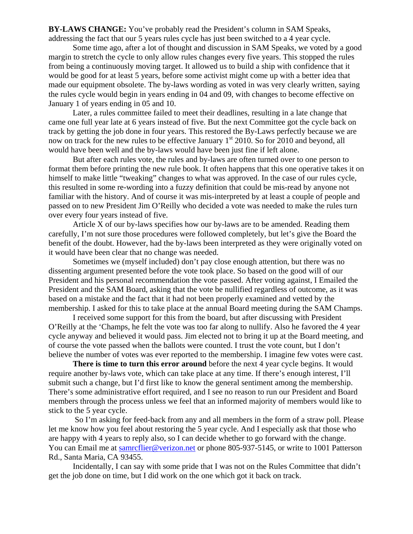BY-LAWS CHANGE: You've probably read the President's column in SAM Speaks, addressing the fact that our 5 years rules cycle has just been switched to a 4 year cycle.

Some time ago, after a lot of thought and discussion in SAM Speaks, we voted by a good margin to stretch the cycle to only allow rules changes every five years. This stopped the rules made our equipment obsolete. The by-laws wording as voted in was very clearly written, saying from being a continuously moving target. It allowed us to build a ship with confidence that it would be good for at least 5 years, before some activist might come up with a better idea that the rules cycle would begin in years ending in 04 and 09, with changes to become effective on January 1 of years ending in 05 and 10.

Later, a rules committee failed to meet their deadlines, resulting in a late change that came one full year late at 6 years instead of five. But the next Committee got the cycle back on track by getting the job done in four years. This restored the By-Laws perfectly because we are now on track for the new rules to be effective January  $1<sup>st</sup>$  2010. So for 2010 and beyond, all would have been well and the by-laws would have been just fine if left alone.

But after each rules vote, the rules and by-laws are often turned over to one person to format them before printing the new rule book. It often happens that this one operative takes it on familiar with the history. And of course it was mis-interpreted by at least a couple of people and himself to make little "tweaking" changes to what was approved. In the case of our rules cycle, this resulted in some re-wording into a fuzzy definition that could be mis-read by anyone not passed on to new President Jim O'Reilly who decided a vote was needed to make the rules turn over every four years instead of five.

Article  $X$  of our by-laws specifies how our by-laws are to be amended. Reading them carefully, I'm not sure those procedures were followed completely, but let's give the Board the benefit of the doubt. However, had the by-laws been interpreted as they were originally voted on it would have been clear that no change was needed.

Sometimes we (myself included) don't pay close enough attention, but there was no President and his personal recommendation the vote passed. After voting against, I Emailed the membership. I asked for this to take place at the annual Board meeting during the SAM Champs. dissenting argument presented before the vote took place. So based on the good will of our President and the SAM Board, asking that the vote be nullified regardless of outcome, as it was based on a mistake and the fact that it had not been properly examined and vetted by the

O'Reilly at the 'Champs, he felt the vote was too far along to nullify. Also he favored the 4 year believe the number of votes was ever reported to the membership. I imagine few votes were cast. I received some support for this from the board, but after discussing with President cycle anyway and believed it would pass. Jim elected not to bring it up at the Board meeting, and of course the vote passed when the ballots were counted. I trust the vote count, but I don't

**There is time to turn this error around** before the next 4 year cycle begins. It would require another by-laws vote, which can take place at any time. If there's enough interest, I'll submit such a change, but I'd first like to know the general sentiment among the membership. There's some administrative effort required, and I see no reason to run our President and Board members through the process unless we feel that an informed majority of members would like to stick to the 5 year cycle.

So I'm asking for feed-back from any and all members in the form of a straw poll. Please let me know how you feel about restoring the 5 year cycle. And I especially ask that those who are happy with 4 years to reply also, so I can decide whether to go forward with the change. You can Email me at samrcflier@verizon.net or phone 805-937-5145, or write to 1001 Patterson Rd., Santa Maria, CA 93455.

Incidentally, I can say with some pride that I was not on the Rules Committee that didn't get the job done on time, but I did work on the one which got it back on track.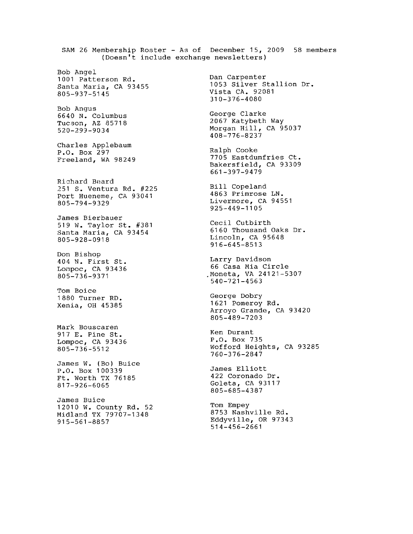SAM 26 Membership Roster - As of December 15, 2009 58 members (Doesn't include exchange newsletters) Bob Angel Dan Carpenter 1001 Patterson Rd. 1053 Silver Stallion Dr. Santa Maria, CA 93455 Vista CA. 92081  $805 - 937 - 5145$  $310 - 376 - 4080$ Bob Angus George Clarke 6640 N. Columbus 2067 Katybeth Way Tucson, AZ 85718 Morgan Hill, CA 95037  $520 - 299 - 9034$  $408 - 776 - 8237$ Charles Applebaum Ralph Cooke P.O. Box 297 7705 Eastdumfries Ct. Freeland, WA 98249 Bakersfield, CA 93309  $661 - 397 - 9479$ Richard Beard Bill Copeland 251 S. Ventura Rd. #225 4863 Primrose LN. Port Hueneme, CA 93041 Livermore, CA 94551 805-794-9329  $925 - 449 - 1105$ James Bierbauer Cecil Cutbirth 519 W. Taylor St. #381 6160 Thousand Oaks Dr. Santa Maria, CA 93454 Lincoln, CA 95648 805-928-0918  $916 - 645 - 8513$ Don Bishop Larry Davidson 404 N. First St. 66 Casa Mia Circle Lompoc, CA 93436 Moneta, VA 24121-5307 805-736-9371  $540 - 721 - 4563$ Tom Boice George Dobry 1880 Turner RD. 1621 Pomeroy Rd. Xenia, OH 45385 Arroyo Grande, CA 93420 805-489-7203 Mark Bouscaren Ken Durant 917 E. Pine St. P.O. Box 735 Lompoc, CA 93436 Wofford Heights, CA 93285  $805 - 736 - 5512$ 760-376-2847 James W. (Bo) Buice James Elliott P.O. Box 100339 422 Coronado Dr. Ft. Worth TX 76185 Goleta, CA 93117 817-926-6065 805-685-4387 James Buice Tom Empey 12010 W. County Rd. 52 8753 Nashville Rd. Midland TX 79707-1348 Eddyville, OR 97343  $915 - 561 - 8857$  $514 - 456 - 2661$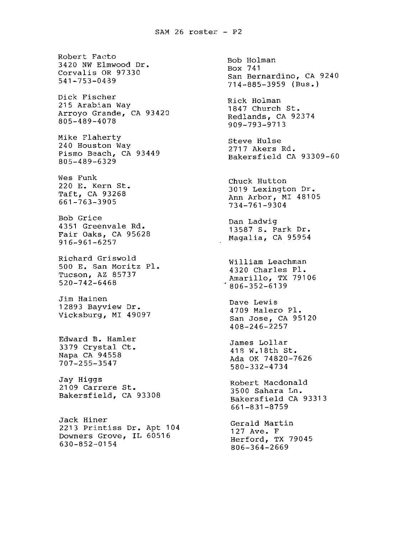Robert Facto 3420 NW Elmwood Dr. Corvalis OR 97330  $541 - 753 - 0439$ Dick Fischer 215 Arabian Way Arroyo Grande, CA 93420 805-489-4078 Mike Flaherty 240 Houston Way Pismo Beach, CA 93449 805-489-6329 Wes Funk 220 E. Kern St. Taft, CA 93268 661-763-3905 Bob Grice 4351 Greenvale Rd. Fair Oaks, CA 95628  $916 - 961 - 6257$ Richard Griswold 500 E. San Moritz Pl. Tucson, AZ 85737  $520 - 742 - 6468$ Jim Hainen 12893 Bayview Dr. Vicksburg, MI 49097 Edward B. Hamler 3379 Crystal Ct. Napa CA 94558 707-255-3547 Jay Higgs 2109 Carrere St. Bakersfield, CA 93308 Jack Hiner 2213 Printiss Dr. Apt 104 Downers Grove, IL 60516 630-852-0154

Bob Holman Box 741 San Bernardino, CA 9240  $714 - 885 - 3959$  (Bus.) Rick Holman 1847 Church St. Redlands, CA 92374 909-793-9713 Steve Hulse 2717 Akers Rd. Bakersfield CA 93309-60 Chuck Hutton 3019 Lexington Dr. Ann Arbor, MI 48105 734-761-9304 Dan Ladwig 13587 S. Park Dr. Magalia, CA 95954 William Leachman 4320 Charles Pl. Amarillo, TX 79106  $1806 - 352 - 6139$ Dave Lewis 4709 Malero Pl. San Jose, CA 95120  $408 - 246 - 2257$ James Lollar 418 W.18th St. Ada OK 74820-7626 580-332-4734 Robert Macdonald 3500 Sahara Ln. Bakersfield CA 93313  $661 - 831 - 8759$ Gerald Martin 127 Ave. F Herford, TX 79045 806-364-2669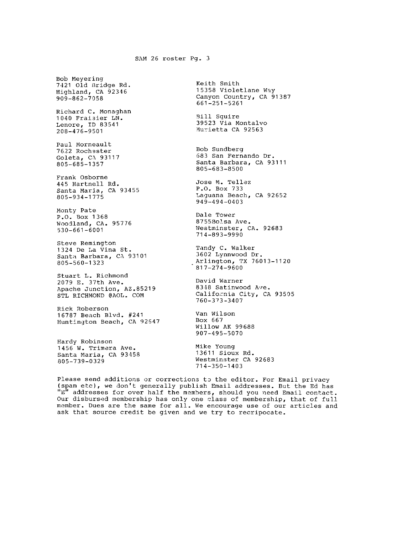## SAM 26 roster Pg. 3

Bob Meyering 7421 Old Bridge Rd. Highland, CA 92346  $909 - 862 - 7058$ Richard C. Monaghan 1040 Fraisier LN. Lenore, ID 83541<br>208-476-9501

Paul Morneault 7622 Rochester Goleta, CA 93117 805-685-1357

Frank Osborne 445 Hartnell Rd. Santa Maria, CA 93455 805-934-1775

Monty Pate P.O. Box 1368 Woodland, CA. 95776  $530 - 661 - 6001$ 

Steve Remington 1324 De La Vina St. Santa Barbara, CA 93101 805-560-1323

Stuart L. Richmond 2079 E. 37th Ave. Apache Junction, AZ.85219 STL RICHMOND @AOL. COM

Rick Roberson 16787 Beach Blvd. #241 Huntington Beach, CA 92647

Hardy Robinson 1456 W. Trimera Ave. Santa Maria, CA 93458 805-739-0329

Keith Smith 15358 Violetlane Way Canyon Country, CA 91387  $661 - 251 - 5261$ 

Bill Squire 39523 Via Montalvo Murietta CA 92563

Bob Sundberg 683 San Fernando Dr. Santa Barbara, CA 93111 805-683-8500

Jose M. Tellez P.O. Box 733 Laguana Beach, CA 92652  $949 - 494 - 0403$ 

Dale Tower 8755Bolsa Ave. Westminster, CA. 92683 714-893-9990

Tandy C. Walker 3602 Lynnwood Dr. Arlington, TX 76013-1120  $817 - 274 - 9600$ 

David Warner 8348 Satinwood Ave. California City, CA 93505 760-373-3407

Van Wilson Box 667 Willow AK 99688 907-495-5070

Mike Young 13611 Sioux Rd. Westminster CA 92683  $714 - 350 - 1403$ 

Please send additions or corrections to the editor. For Email privacy (spam etc), we don't generally publish Email addresses. But the Ed has "E" addresses for over half the members, should you need Email contact. Our disbursed membership has only one class of membership, that of full member. Dues are the same for all. We encourage use of our articles and ask that source credit be given and we try to recripocate.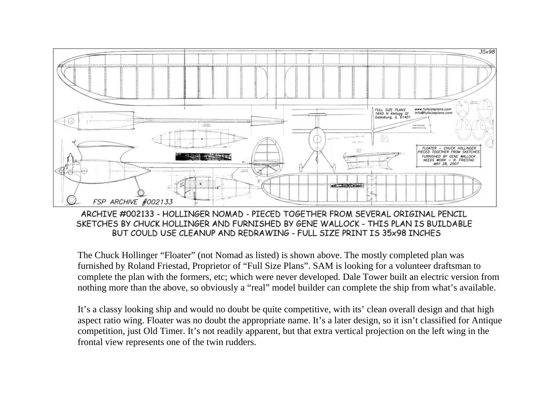

ARCHIVE #002133 - HOLLINGER NOMAD - PIECED TOGETHER FROM SEVERAL ORIGINAL PENCIL SKETCHES BY CHUCK HOLLINGER AND FURNISHED BY GENE WALLOCK - THIS PLAN IS BUILDABLE BUT COULD USE CLEANUP AND REDRAWING - FULL SIZE PRINT IS 35x98 INCHES

The Chuck Hollinger "Floater" (not Nomad as listed) is shown above. The mostly completed plan was furnished by Roland Friestad, Proprietor of "Full Size Plans". SAM is looking for a volunteer draftsman to complete the plan with the formers, etc; which were never developed. Dale Tower built an electric version from nothing more than the above, so obviously a "real" model builder can complete the ship from what's available.

It's a classy looking ship and would no doubt be quite competitive, with its' clean overall design and that high aspect ratio wing. Floater was no doubt the appropriate name. It's a later design, so it isn't classified for Antique competition, just Old Timer. It's not readily apparent, but that extra vertical projection on the left wing in the frontal view represents one of the twin rudders.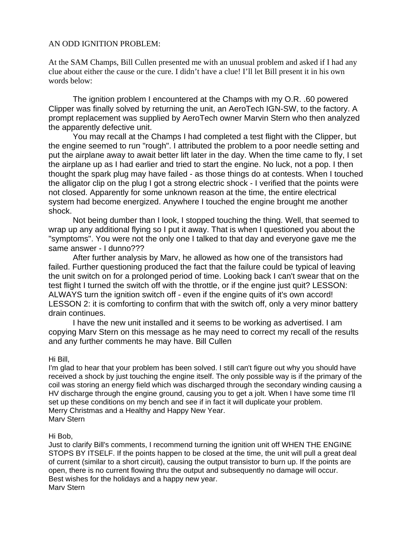## AN ODD IGNITION PROBLEM:

At the SAM Champs, Bill Cullen presented me with an unusual problem and asked if I had any clue about either the cause or the cure. I didn't have a clue! I'll let Bill present it in his own words below:

The ignition problem I encountered at the Champs with my O.R. .60 powered Clipper was finally solved by returning the unit, an AeroTech IGN-SW, to the factory. A prompt replacement was supplied by AeroTech owner Marvin Stern who then analyzed the apparently defective unit.

 You may recall at the Champs I had completed a test flight with the Clipper, but the engine seemed to run "rough". I attributed the problem to a poor needle setting and put the airplane away to await better lift later in the day. When the time came to fly, I set the airplane up as I had earlier and tried to start the engine. No luck, not a pop. I then thought the spark plug may have failed - as those things do at contests. When I touched the alligator clip on the plug I got a strong electric shock - I verified that the points were not closed. Apparently for some unknown reason at the time, the entire electrical system had become energized. Anywhere I touched the engine brought me another shock.

 Not being dumber than I look, I stopped touching the thing. Well, that seemed to wrap up any additional flying so I put it away. That is when I questioned you about the "symptoms". You were not the only one I talked to that day and everyone gave me the same answer - I dunno???

 After further analysis by Marv, he allowed as how one of the transistors had failed. Further questioning produced the fact that the failure could be typical of leaving the unit switch on for a prolonged period of time. Looking back I can't swear that on the test flight I turned the switch off with the throttle, or if the engine just quit? LESSON: ALWAYS turn the ignition switch off - even if the engine quits of it's own accord! LESSON 2: it is comforting to confirm that with the switch off, only a very minor battery drain continues.

I have the new unit installed and it seems to be working as advertised. I am copying Marv Stern on this message as he may need to correct my recall of the results and any further comments he may have. Bill Cullen

## Hi Bill,

I'm glad to hear that your problem has been solved. I still can't figure out why you should have received a shock by just touching the engine itself. The only possible way is if the primary of the coil was storing an energy field which was discharged through the secondary winding causing a HV discharge through the engine ground, causing you to get a jolt. When I have some time I'll set up these conditions on my bench and see if in fact it will duplicate your problem. Merry Christmas and a Healthy and Happy New Year. Marv Stern

## Hi Bob,

Just to clarify Bill's comments, I recommend turning the ignition unit off WHEN THE ENGINE STOPS BY ITSELF. If the points happen to be closed at the time, the unit will pull a great deal of current (similar to a short circuit), causing the output transistor to burn up. If the points are open, there is no current flowing thru the output and subsequently no damage will occur. Best wishes for the holidays and a happy new year. Marv Stern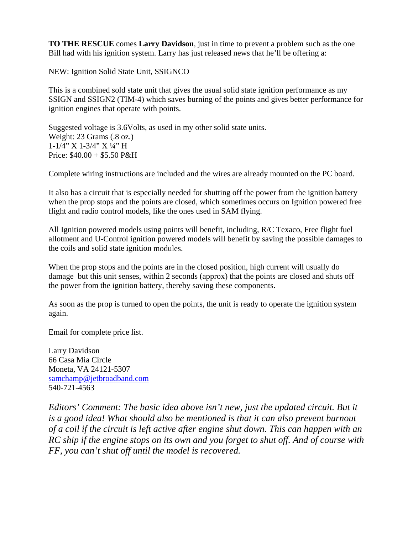**TO THE RESCUE** comes **Larry Davidson**, just in time to prevent a problem such as the one Bill had with his ignition system. Larry has just released news that he'll be offering a:

NEW: Ignition Solid State Unit, SSIGNCO

This is a combined sold state unit that gives the usual solid state ignition performance as my SSIGN and SSIGN2 (TIM-4) which saves burning of the points and gives better performance for ignition engines that operate with points.

Suggested voltage is 3.6Volts, as used in my other solid state units. Weight: 23 Grams (.8 oz.) 1-1/4" X 1-3/4" X ¼" H Price:  $$40.00 + $5.50$  P&H

Complete wiring instructions are included and the wires are already mounted on the PC board.

It also has a circuit that is especially needed for shutting off the power from the ignition battery when the prop stops and the points are closed, which sometimes occurs on Ignition powered free flight and radio control models, like the ones used in SAM flying.

the coils and solid state ignition modules. All Ignition powered models using points will benefit, including, R/C Texaco, Free flight fuel allotment and U-Control ignition powered models will benefit by saving the possible damages to

When the prop stops and the points are in the closed position, high current will usually do damage but this unit senses, within 2 seconds (approx) that the points are closed and shuts off the power from the ignition battery, thereby saving these components.

As soon as the prop is turned to open the points, the unit is ready to operate the ignition system again.

Email for complete price list.

Larry Davidson 66 Casa Mia Circle Moneta, VA 24121-5307 samchamp@jetbroadband.com 540-721-4563

*Editors' Comment: The basic idea above isn't new, just the updated circuit. But it* is a good idea! What should also be mentioned is that it can also prevent burnout of a coil if the circuit is left active after engine shut down. This can happen with an RC ship if the engine stops on its own and you forget to shut off. And of course with *FF, you can't shut off until the model is recovered.*